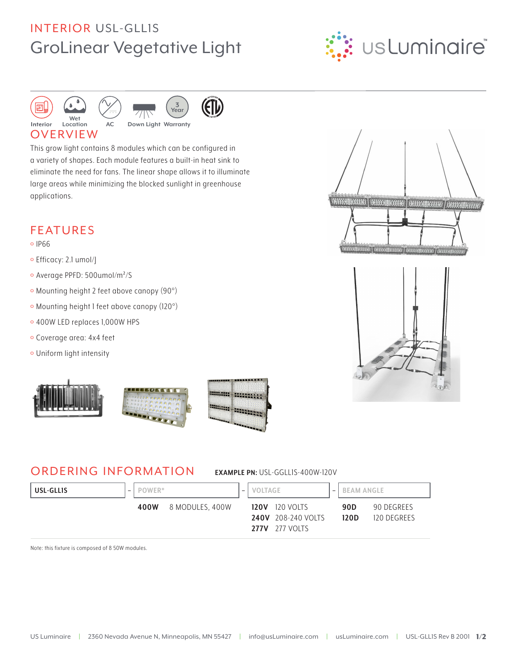# **INTERIOR USL-GLLIS GroLinear Vegetative Light**







**ETD** 

#### **OVERVIEW**

This grow light contains 8 modules which can be configured in a variety of shapes. Each module features a built-in heat sink to eliminate the need for fans. The linear shape allows it to illuminate large areas while minimizing the blocked sunlight in greenhouse applications.

### **FEATURES**

- $0$  IP66
- o Efficacy: 2.1 umol/
- · Average PPFD: 500umol/m<sup>2</sup>/S
- · Mounting height 2 feet above canopy (90°)

AC.

- · Mounting height I feet above canopy (I20°)
- o 400W LED replaces 1,000W HPS
- · Coverage area: 4x4 feet
- · Uniform light intensity



### **ORDERING INFORMATION**

EXAMPLE PN: USL-GGLLIS-400W-120V

| USL-GLLIS | POWER* |                 | $\overline{\phantom{m}}$ | VOLTAGE |                                                                             | $\overline{\phantom{m}}$ | <b>BEAM ANGLE</b> |                           |
|-----------|--------|-----------------|--------------------------|---------|-----------------------------------------------------------------------------|--------------------------|-------------------|---------------------------|
|           | 400W   | 8 MODULES, 400W |                          |         | <b>120V</b> 120 VOLTS<br><b>240V</b> 208-240 VOLTS<br><b>277V</b> 277 VOLTS |                          | 90D<br>120D       | 90 DEGREES<br>120 DEGREES |

Note: this fixture is composed of 8 50W modules.